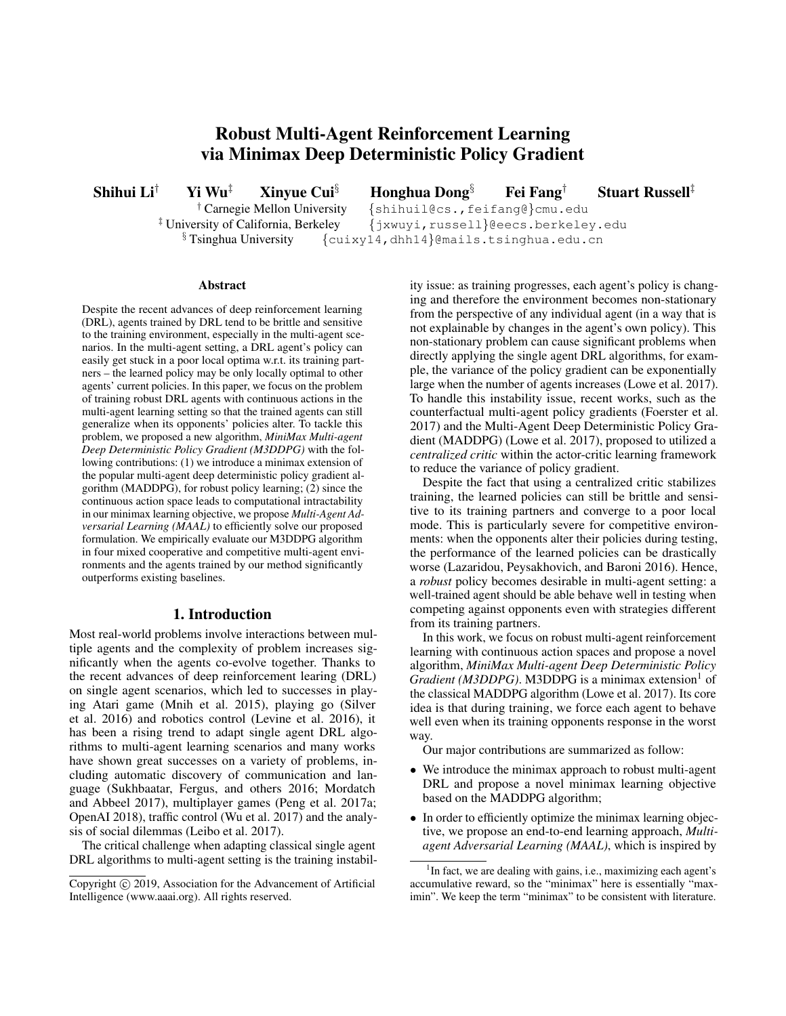# Robust Multi-Agent Reinforcement Learning via Minimax Deep Deterministic Policy Gradient

Shihui Li<sup>†</sup> Yi Wu<sup>‡</sup> Xinyue Cui<sup>§</sup> Honghua Dong<sup>§</sup> Fei Fang<sup>†</sup> Stuart Russell<sup>‡</sup>

† Carnegie Mellon University {shihuil@cs.,feifang@}cmu.edu ‡ University of California, Berkeley {jxwuyi,russell}@eecs.berkeley.edu  $\S$ Tsinghua University {cuixy14,dhh14}@mails.tsinghua.edu.cn

#### Abstract

Despite the recent advances of deep reinforcement learning (DRL), agents trained by DRL tend to be brittle and sensitive to the training environment, especially in the multi-agent scenarios. In the multi-agent setting, a DRL agent's policy can easily get stuck in a poor local optima w.r.t. its training partners – the learned policy may be only locally optimal to other agents' current policies. In this paper, we focus on the problem of training robust DRL agents with continuous actions in the multi-agent learning setting so that the trained agents can still generalize when its opponents' policies alter. To tackle this problem, we proposed a new algorithm, *MiniMax Multi-agent Deep Deterministic Policy Gradient (M3DDPG)* with the following contributions: (1) we introduce a minimax extension of the popular multi-agent deep deterministic policy gradient algorithm (MADDPG), for robust policy learning; (2) since the continuous action space leads to computational intractability in our minimax learning objective, we propose *Multi-Agent Adversarial Learning (MAAL)* to efficiently solve our proposed formulation. We empirically evaluate our M3DDPG algorithm in four mixed cooperative and competitive multi-agent environments and the agents trained by our method significantly outperforms existing baselines.

## 1. Introduction

Most real-world problems involve interactions between multiple agents and the complexity of problem increases significantly when the agents co-evolve together. Thanks to the recent advances of deep reinforcement learing (DRL) on single agent scenarios, which led to successes in playing Atari game (Mnih et al. 2015), playing go (Silver et al. 2016) and robotics control (Levine et al. 2016), it has been a rising trend to adapt single agent DRL algorithms to multi-agent learning scenarios and many works have shown great successes on a variety of problems, including automatic discovery of communication and language (Sukhbaatar, Fergus, and others 2016; Mordatch and Abbeel 2017), multiplayer games (Peng et al. 2017a; OpenAI 2018), traffic control (Wu et al. 2017) and the analysis of social dilemmas (Leibo et al. 2017).

The critical challenge when adapting classical single agent DRL algorithms to multi-agent setting is the training instability issue: as training progresses, each agent's policy is changing and therefore the environment becomes non-stationary from the perspective of any individual agent (in a way that is not explainable by changes in the agent's own policy). This non-stationary problem can cause significant problems when directly applying the single agent DRL algorithms, for example, the variance of the policy gradient can be exponentially large when the number of agents increases (Lowe et al. 2017). To handle this instability issue, recent works, such as the counterfactual multi-agent policy gradients (Foerster et al. 2017) and the Multi-Agent Deep Deterministic Policy Gradient (MADDPG) (Lowe et al. 2017), proposed to utilized a *centralized critic* within the actor-critic learning framework to reduce the variance of policy gradient.

Despite the fact that using a centralized critic stabilizes training, the learned policies can still be brittle and sensitive to its training partners and converge to a poor local mode. This is particularly severe for competitive environments: when the opponents alter their policies during testing, the performance of the learned policies can be drastically worse (Lazaridou, Peysakhovich, and Baroni 2016). Hence, a *robust* policy becomes desirable in multi-agent setting: a well-trained agent should be able behave well in testing when competing against opponents even with strategies different from its training partners.

In this work, we focus on robust multi-agent reinforcement learning with continuous action spaces and propose a novel algorithm, *MiniMax Multi-agent Deep Deterministic Policy Gradient (M3DDPG)*. M3DDPG is a minimax extension<sup>1</sup> of the classical MADDPG algorithm (Lowe et al. 2017). Its core idea is that during training, we force each agent to behave well even when its training opponents response in the worst way.

Our major contributions are summarized as follow:

- We introduce the minimax approach to robust multi-agent DRL and propose a novel minimax learning objective based on the MADDPG algorithm;
- In order to efficiently optimize the minimax learning objective, we propose an end-to-end learning approach, *Multiagent Adversarial Learning (MAAL)*, which is inspired by

Copyright (c) 2019, Association for the Advancement of Artificial Intelligence (www.aaai.org). All rights reserved.

<sup>&</sup>lt;sup>1</sup>In fact, we are dealing with gains, i.e., maximizing each agent's accumulative reward, so the "minimax" here is essentially "maximin". We keep the term "minimax" to be consistent with literature.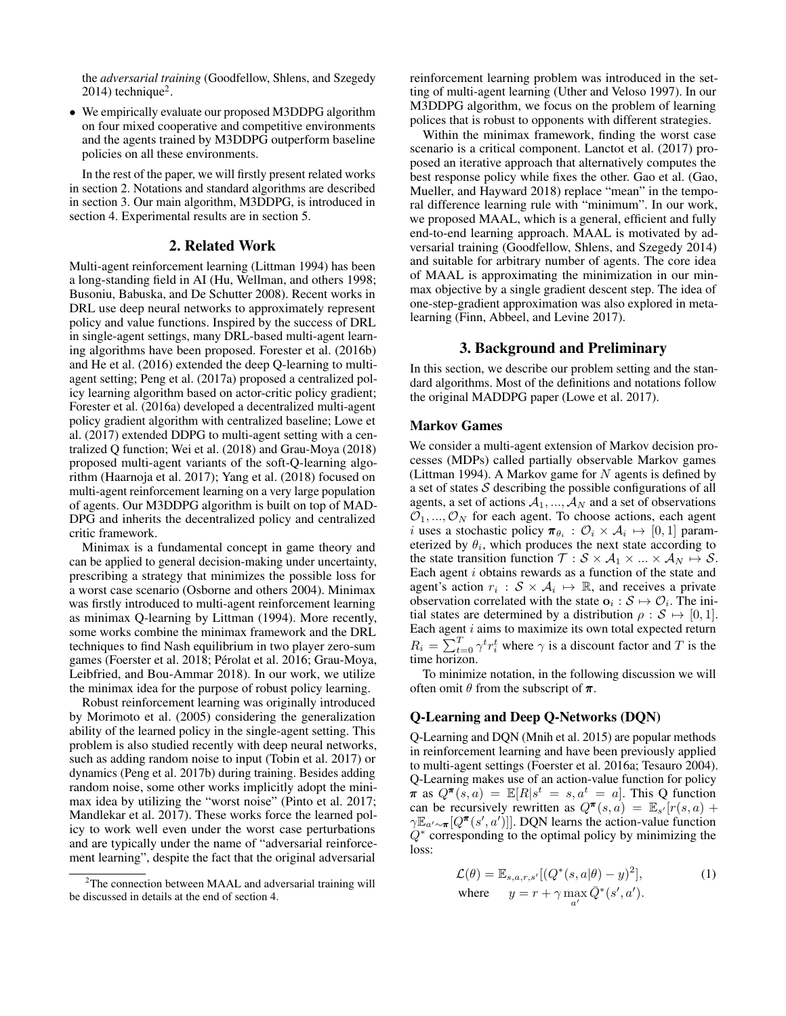the *adversarial training* (Goodfellow, Shlens, and Szegedy  $2014$ ) technique<sup>2</sup>.

• We empirically evaluate our proposed M3DDPG algorithm on four mixed cooperative and competitive environments and the agents trained by M3DDPG outperform baseline policies on all these environments.

In the rest of the paper, we will firstly present related works in section 2. Notations and standard algorithms are described in section 3. Our main algorithm, M3DDPG, is introduced in section 4. Experimental results are in section 5.

## 2. Related Work

Multi-agent reinforcement learning (Littman 1994) has been a long-standing field in AI (Hu, Wellman, and others 1998; Busoniu, Babuska, and De Schutter 2008). Recent works in DRL use deep neural networks to approximately represent policy and value functions. Inspired by the success of DRL in single-agent settings, many DRL-based multi-agent learning algorithms have been proposed. Forester et al. (2016b) and He et al. (2016) extended the deep Q-learning to multiagent setting; Peng et al. (2017a) proposed a centralized policy learning algorithm based on actor-critic policy gradient; Forester et al. (2016a) developed a decentralized multi-agent policy gradient algorithm with centralized baseline; Lowe et al. (2017) extended DDPG to multi-agent setting with a centralized Q function; Wei et al. (2018) and Grau-Moya (2018) proposed multi-agent variants of the soft-Q-learning algorithm (Haarnoja et al. 2017); Yang et al. (2018) focused on multi-agent reinforcement learning on a very large population of agents. Our M3DDPG algorithm is built on top of MAD-DPG and inherits the decentralized policy and centralized critic framework.

Minimax is a fundamental concept in game theory and can be applied to general decision-making under uncertainty, prescribing a strategy that minimizes the possible loss for a worst case scenario (Osborne and others 2004). Minimax was firstly introduced to multi-agent reinforcement learning as minimax Q-learning by Littman (1994). More recently, some works combine the minimax framework and the DRL techniques to find Nash equilibrium in two player zero-sum games (Foerster et al. 2018; Pérolat et al. 2016; Grau-Moya, Leibfried, and Bou-Ammar 2018). In our work, we utilize the minimax idea for the purpose of robust policy learning.

Robust reinforcement learning was originally introduced by Morimoto et al. (2005) considering the generalization ability of the learned policy in the single-agent setting. This problem is also studied recently with deep neural networks, such as adding random noise to input (Tobin et al. 2017) or dynamics (Peng et al. 2017b) during training. Besides adding random noise, some other works implicitly adopt the minimax idea by utilizing the "worst noise" (Pinto et al. 2017; Mandlekar et al. 2017). These works force the learned policy to work well even under the worst case perturbations and are typically under the name of "adversarial reinforcement learning", despite the fact that the original adversarial

reinforcement learning problem was introduced in the setting of multi-agent learning (Uther and Veloso 1997). In our M3DDPG algorithm, we focus on the problem of learning polices that is robust to opponents with different strategies.

Within the minimax framework, finding the worst case scenario is a critical component. Lanctot et al. (2017) proposed an iterative approach that alternatively computes the best response policy while fixes the other. Gao et al. (Gao, Mueller, and Hayward 2018) replace "mean" in the temporal difference learning rule with "minimum". In our work, we proposed MAAL, which is a general, efficient and fully end-to-end learning approach. MAAL is motivated by adversarial training (Goodfellow, Shlens, and Szegedy 2014) and suitable for arbitrary number of agents. The core idea of MAAL is approximating the minimization in our minmax objective by a single gradient descent step. The idea of one-step-gradient approximation was also explored in metalearning (Finn, Abbeel, and Levine 2017).

## 3. Background and Preliminary

In this section, we describe our problem setting and the standard algorithms. Most of the definitions and notations follow the original MADDPG paper (Lowe et al. 2017).

#### Markov Games

We consider a multi-agent extension of Markov decision processes (MDPs) called partially observable Markov games (Littman 1994). A Markov game for  $N$  agents is defined by a set of states  $S$  describing the possible configurations of all agents, a set of actions  $A_1, ..., A_N$  and a set of observations  $\mathcal{O}_1, ..., \mathcal{O}_N$  for each agent. To choose actions, each agent *i* uses a stochastic policy  $\pi_{\theta_i}$ :  $\mathcal{O}_i \times \mathcal{A}_i \mapsto [0,1]$  parameterized by  $\theta_i$ , which produces the next state according to the state transition function  $\mathcal{T}: \mathcal{S} \times \mathcal{A}_1 \times ... \times \mathcal{A}_N \mapsto \mathcal{S}$ . Each agent  $i$  obtains rewards as a function of the state and agent's action  $r_i : S \times A_i \mapsto \mathbb{R}$ , and receives a private observation correlated with the state  $o_i : S \mapsto \mathcal{O}_i$ . The initial states are determined by a distribution  $\rho : \mathcal{S} \mapsto [0, 1]$ . Each agent  $i$  aims to maximize its own total expected return  $R_i = \sum_{t=0}^{T} \gamma^t r_i^t$  where  $\gamma$  is a discount factor and T is the time horizon.

To minimize notation, in the following discussion we will often omit  $\theta$  from the subscript of  $\pi$ .

## Q-Learning and Deep Q-Networks (DQN)

Q-Learning and DQN (Mnih et al. 2015) are popular methods in reinforcement learning and have been previously applied to multi-agent settings (Foerster et al. 2016a; Tesauro 2004). Q-Learning makes use of an action-value function for policy  $\pi$  as  $Q^{\pi}(s, a) = \mathbb{E}[R|s^t = s, a^t = a]$ . This Q function can be recursively rewritten as  $Q^{\pi}(s, a) = \mathbb{E}_{s}[r(s, a) +$  $\gamma \mathbb{E}_{a' \sim \pi}[Q^{\pi}(s', a')]$ . DQN learns the action-value function  $Q^*$  corresponding to the optimal policy by minimizing the loss:

$$
\mathcal{L}(\theta) = \mathbb{E}_{s,a,r,s'}[(Q^*(s,a|\theta) - y)^2],
$$
  
where  $y = r + \gamma \max_{a'} \bar{Q}^*(s', a').$  (1)

<sup>&</sup>lt;sup>2</sup>The connection between MAAL and adversarial training will be discussed in details at the end of section 4.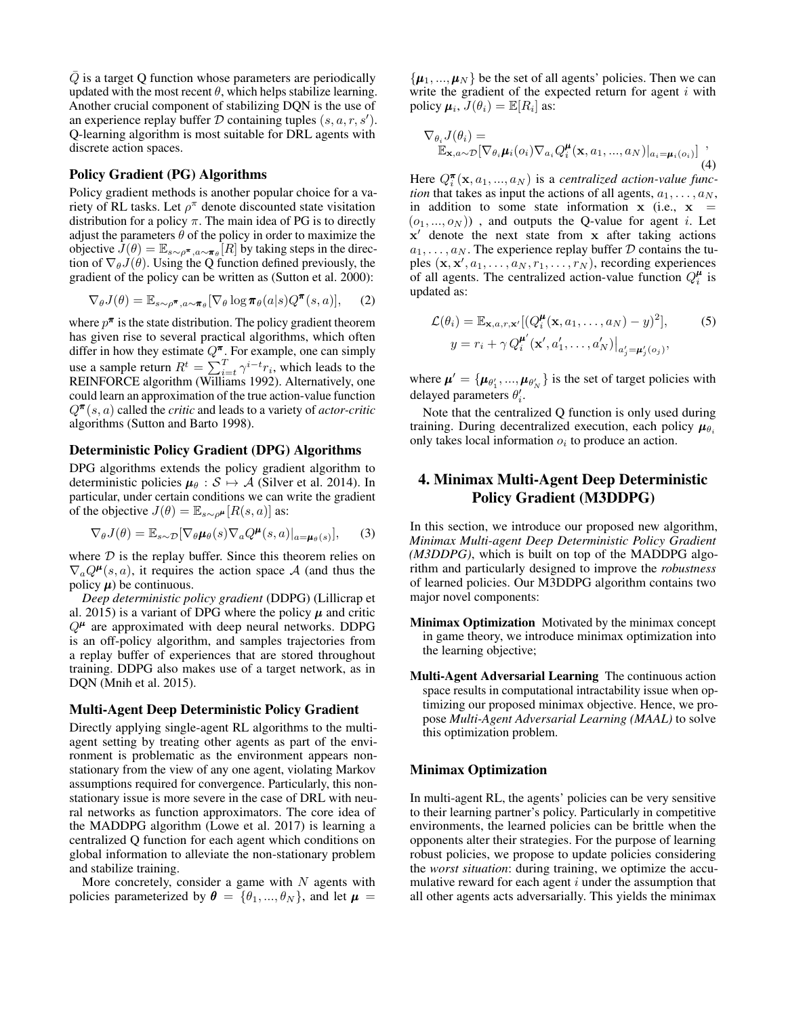$\overline{Q}$  is a target Q function whose parameters are periodically updated with the most recent  $\theta$ , which helps stabilize learning. Another crucial component of stabilizing DQN is the use of an experience replay buffer  $D$  containing tuples  $(s, a, r, s')$ . Q-learning algorithm is most suitable for DRL agents with discrete action spaces.

#### Policy Gradient (PG) Algorithms

Policy gradient methods is another popular choice for a variety of RL tasks. Let  $\rho^{\pi}$  denote discounted state visitation distribution for a policy  $\pi$ . The main idea of PG is to directly adjust the parameters  $\theta$  of the policy in order to maximize the objective  $J(\theta) = \mathbb{E}_{s \sim \rho^{\pi}, a \sim \pi_{\theta}}[R]$  by taking steps in the direction of  $\nabla_{\theta}J(\theta)$ . Using the Q function defined previously, the gradient of the policy can be written as (Sutton et al. 2000):

$$
\nabla_{\theta} J(\theta) = \mathbb{E}_{s \sim \rho^{\pi}, a \sim \pi_{\theta}} [\nabla_{\theta} \log \pi_{\theta}(a|s) Q^{\pi}(s, a)], \quad (2)
$$

where  $p^{\pi}$  is the state distribution. The policy gradient theorem has given rise to several practical algorithms, which often differ in how they estimate  $Q^{\pi}$ . For example, one can simply use a sample return  $R^t = \sum_{i=t}^{T} \gamma^{i-t} r_i$ , which leads to the REINFORCE algorithm (Williams 1992). Alternatively, one could learn an approximation of the true action-value function  $Q^{\pi}(s, a)$  called the *critic* and leads to a variety of *actor-critic* algorithms (Sutton and Barto 1998).

## Deterministic Policy Gradient (DPG) Algorithms

DPG algorithms extends the policy gradient algorithm to deterministic policies  $\mu_{\theta}$  :  $S \mapsto A$  (Silver et al. 2014). In particular, under certain conditions we can write the gradient of the objective  $J(\theta) = \mathbb{E}_{s \sim \rho^{\mu}}[R(s, a)]$  as:

$$
\nabla_{\theta} J(\theta) = \mathbb{E}_{s \sim \mathcal{D}} [\nabla_{\theta} \mu_{\theta}(s) \nabla_a Q^{\mu}(s, a)|_{a = \mu_{\theta}(s)}], \quad (3)
$$

where  $D$  is the replay buffer. Since this theorem relies on  $\nabla_a Q^{\mu}(s, a)$ , it requires the action space A (and thus the policy  $\mu$ ) be continuous.

*Deep deterministic policy gradient* (DDPG) (Lillicrap et al. 2015) is a variant of DPG where the policy  $\mu$  and critic  $Q^{\mu}$  are approximated with deep neural networks. DDPG is an off-policy algorithm, and samples trajectories from a replay buffer of experiences that are stored throughout training. DDPG also makes use of a target network, as in DQN (Mnih et al. 2015).

## Multi-Agent Deep Deterministic Policy Gradient

Directly applying single-agent RL algorithms to the multiagent setting by treating other agents as part of the environment is problematic as the environment appears nonstationary from the view of any one agent, violating Markov assumptions required for convergence. Particularly, this nonstationary issue is more severe in the case of DRL with neural networks as function approximators. The core idea of the MADDPG algorithm (Lowe et al. 2017) is learning a centralized Q function for each agent which conditions on global information to alleviate the non-stationary problem and stabilize training.

More concretely, consider a game with  $N$  agents with policies parameterized by  $\boldsymbol{\theta} = \{\theta_1, ..., \theta_N\}$ , and let  $\boldsymbol{\mu} =$ 

 $\{\boldsymbol{\mu}_1, ..., \boldsymbol{\mu}_N\}$  be the set of all agents' policies. Then we can write the gradient of the expected return for agent  $i$  with policy  $\mu_i$ ,  $J(\theta_i) = \mathbb{E}[R_i]$  as:

$$
\nabla_{\theta_i} J(\theta_i) = \mathbb{E}_{\mathbf{x}, a \sim \mathcal{D}} [\nabla_{\theta_i} \boldsymbol{\mu}_i(o_i) \nabla_{a_i} Q_i^{\boldsymbol{\mu}}(\mathbf{x}, a_1, ..., a_N)|_{a_i = \boldsymbol{\mu}_i(o_i)}] ,
$$
\n(4)

Here  $Q_i^{\pi}(\mathbf{x}, a_1, ..., a_N)$  is a *centralized action-value function* that takes as input the actions of all agents,  $a_1, \ldots, a_N$ , in addition to some state information  $x$  (i.e.,  $x =$  $(o_1, ..., o_N)$ , and outputs the Q-value for agent *i*. Let  $x'$  denote the next state from  $x$  after taking actions  $a_1, \ldots, a_N$ . The experience replay buffer  $D$  contains the tuples  $(x, x', a_1, \ldots, a_N, r_1, \ldots, r_N)$ , recording experiences of all agents. The centralized action-value function  $Q_i^{\mu}$  is updated as:

$$
\mathcal{L}(\theta_i) = \mathbb{E}_{\mathbf{x}, a, r, \mathbf{x}'} [(Q_i^{\mu}(\mathbf{x}, a_1, \dots, a_N) - y)^2],
$$
\n
$$
y = r_i + \gamma Q_i^{\mu'}(\mathbf{x}', a'_1, \dots, a'_N)|_{a'_j = \mu'_j(o_j)},
$$
\n(5)

where  $\boldsymbol{\mu}' = {\mu_{\theta'_1}, ..., \mu_{\theta'_N}}$  is the set of target policies with delayed parameters  $\theta_i'$ .

Note that the centralized Q function is only used during training. During decentralized execution, each policy  $\mu_{\theta_i}$ only takes local information  $o_i$  to produce an action.

## 4. Minimax Multi-Agent Deep Deterministic Policy Gradient (M3DDPG)

In this section, we introduce our proposed new algorithm, *Minimax Multi-agent Deep Deterministic Policy Gradient (M3DDPG)*, which is built on top of the MADDPG algorithm and particularly designed to improve the *robustness* of learned policies. Our M3DDPG algorithm contains two major novel components:

- Minimax Optimization Motivated by the minimax concept in game theory, we introduce minimax optimization into the learning objective;
- Multi-Agent Adversarial Learning The continuous action space results in computational intractability issue when optimizing our proposed minimax objective. Hence, we propose *Multi-Agent Adversarial Learning (MAAL)* to solve this optimization problem.

## Minimax Optimization

In multi-agent RL, the agents' policies can be very sensitive to their learning partner's policy. Particularly in competitive environments, the learned policies can be brittle when the opponents alter their strategies. For the purpose of learning robust policies, we propose to update policies considering the *worst situation*: during training, we optimize the accumulative reward for each agent  $i$  under the assumption that all other agents acts adversarially. This yields the minimax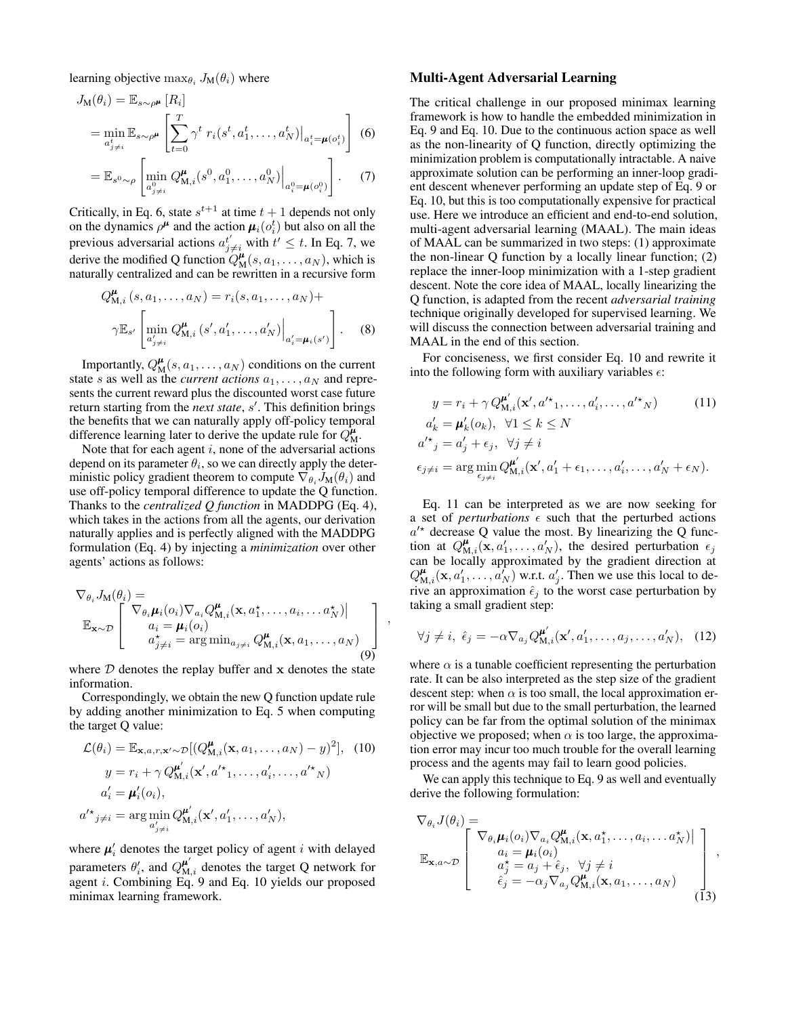learning objective  $\max_{\theta_i} J_M(\theta_i)$  where

$$
J_{\mathbf{M}}(\theta_i) = \mathbb{E}_{s \sim \rho^{\mu}} [R_i]
$$
  
= 
$$
\min_{a_{j \neq i}^t} \mathbb{E}_{s \sim \rho^{\mu}} \left[ \sum_{t=0}^T \gamma^t r_i(s^t, a_1^t, \dots, a_N^t) \Big|_{a_i^t = \mu(o_i^t)} \right]
$$
 (6)

$$
= \mathbb{E}_{s^0 \sim \rho} \left[ \min_{a_{j \neq i}^0} Q_{\mathbf{M},i}^{\mu}(s^0, a_1^0, \dots, a_N^0) \Big|_{a_i^0 = \mu(o_i^0)} \right].
$$
 (7)

Critically, in Eq. 6, state  $s^{t+1}$  at time  $t + 1$  depends not only on the dynamics  $\rho^{\mu}$  and the action  $\mu_i(o_i^t)$  but also on all the previous adversarial actions  $a_{j\neq i}^{t'}$  with  $t' \leq t$ . In Eq. 7, we derive the modified Q function  $Q_M^{\mu}(s, a_1, \dots, a_N)$ , which is naturally centralized and can be rewritten in a recursive form

$$
Q_{\mathbf{M},i}^{\mu}(s, a_1, ..., a_N) = r_i(s, a_1, ..., a_N) +
$$

$$
\gamma \mathbb{E}_{s'} \left[ \min_{a'_{j \neq i}} Q_{\mathbf{M},i}^{\mu}(s', a'_1, ..., a'_N) \Big|_{a'_i = \mu_i(s')} \right].
$$
 (8)

Importantly,  $Q_M^{\mu}(s, a_1, \ldots, a_N)$  conditions on the current state s as well as the *current actions*  $a_1, \ldots, a_N$  and represents the current reward plus the discounted worst case future return starting from the *next state*, s'. This definition brings the benefits that we can naturally apply off-policy temporal difference learning later to derive the update rule for  $Q_{\text{M}}^{\mu}$ .

Note that for each agent  $i$ , none of the adversarial actions depend on its parameter  $\theta_i$ , so we can directly apply the deterministic policy gradient theorem to compute  $\nabla_{\theta_i} J_{\mathbf{M}}(\theta_i)$  and use off-policy temporal difference to update the Q function. Thanks to the *centralized Q function* in MADDPG (Eq. 4), which takes in the actions from all the agents, our derivation naturally applies and is perfectly aligned with the MADDPG formulation (Eq. 4) by injecting a *minimization* over other agents' actions as follows:

$$
\nabla_{\theta_i} J_{\mathbf{M}}(\theta_i) = \n\mathbb{E}_{\mathbf{x} \sim \mathcal{D}} \begin{bmatrix}\n\nabla_{\theta_i} \boldsymbol{\mu}_i(o_i) \nabla_{a_i} Q_{\mathbf{M},i}^{\boldsymbol{\mu}}(\mathbf{x}, a_1^{\star}, \dots, a_i, \dots, a_N^{\star})| \\
a_i = \boldsymbol{\mu}_i(o_i) \\
a_j^{\star} \neq i = \arg \min_{a_j \neq i} Q_{\mathbf{M},i}^{\boldsymbol{\mu}}(\mathbf{x}, a_1, \dots, a_N)\n\end{bmatrix}
$$
\n(9)

,

where  $D$  denotes the replay buffer and  $x$  denotes the state information.

Correspondingly, we obtain the new Q function update rule by adding another minimization to Eq. 5 when computing the target Q value:

$$
\mathcal{L}(\theta_i) = \mathbb{E}_{\mathbf{x}, a, r, \mathbf{x}' \sim \mathcal{D}}[(Q_{\mathbf{M}, i}^{\boldsymbol{\mu}}(\mathbf{x}, a_1, \dots, a_N) - y)^2], \quad (10)
$$

$$
y = r_i + \gamma Q_{\mathbf{M}, i}^{\boldsymbol{\mu}'}(\mathbf{x}', a'^\star_1, \dots, a'_i, \dots, a'^\star_N)
$$

$$
a'_i = \boldsymbol{\mu}'_i(o_i),
$$

$$
a'^\star_{j \neq i} = \arg \min_{a'_{j \neq i}} Q_{\mathbf{M}, i}^{\boldsymbol{\mu}'}(\mathbf{x}', a'_1, \dots, a'_N),
$$

where  $\mu'_i$  denotes the target policy of agent i with delayed parameters  $\theta'_i$ , and  $Q_{\text{M},i}^{\mu'}$  denotes the target Q network for agent *i*. Combining Eq. 9 and Eq. 10 yields our proposed minimax learning framework.

#### Multi-Agent Adversarial Learning

The critical challenge in our proposed minimax learning framework is how to handle the embedded minimization in Eq. 9 and Eq. 10. Due to the continuous action space as well as the non-linearity of Q function, directly optimizing the minimization problem is computationally intractable. A naive approximate solution can be performing an inner-loop gradient descent whenever performing an update step of Eq. 9 or Eq. 10, but this is too computationally expensive for practical use. Here we introduce an efficient and end-to-end solution, multi-agent adversarial learning (MAAL). The main ideas of MAAL can be summarized in two steps: (1) approximate the non-linear Q function by a locally linear function; (2) replace the inner-loop minimization with a 1-step gradient descent. Note the core idea of MAAL, locally linearizing the Q function, is adapted from the recent *adversarial training* technique originally developed for supervised learning. We will discuss the connection between adversarial training and MAAL in the end of this section.

For conciseness, we first consider Eq. 10 and rewrite it into the following form with auxiliary variables  $\epsilon$ :

$$
y = r_i + \gamma Q_{\mathbf{M},i}^{\mu'}(\mathbf{x}', a'^\star_1, \dots, a'_i, \dots, a'^\star_N)
$$
(11)  
\n
$$
a'_k = \mu'_k(o_k), \quad \forall 1 \le k \le N
$$
  
\n
$$
a'^\star_j = a'_j + \epsilon_j, \quad \forall j \ne i
$$
  
\n
$$
\epsilon_{j \ne i} = \arg \min_{\epsilon_{j \ne i}} Q_{\mathbf{M},i}^{\mu'}(\mathbf{x}', a'_1 + \epsilon_1, \dots, a'_i, \dots, a'_N + \epsilon_N).
$$

Eq. 11 can be interpreted as we are now seeking for a set of *perturbations*  $\epsilon$  such that the perturbed actions  $a'^*$  decrease Q value the most. By linearizing the Q function at  $Q_{\mathbf{M},i}^{\mu}(\mathbf{x}, a'_1, \dots, a'_N)$ , the desired perturbation  $\epsilon_j$ can be locally approximated by the gradient direction at  $Q_{\mathbf{M},i}^{\mu}(\mathbf{x}, a'_1, \ldots, a'_N)$  w.r.t.  $a'_j$ . Then we use this local to derive an approximation  $\hat{\epsilon}_j$  to the worst case perturbation by taking a small gradient step:

$$
\forall j \neq i, \ \hat{\epsilon}_j = -\alpha \nabla_{a_j} Q_{\mathbf{M},i}^{\mathbf{\mu}'}(\mathbf{x}', a'_1, \dots, a_j, \dots, a'_N), \tag{12}
$$

where  $\alpha$  is a tunable coefficient representing the perturbation rate. It can be also interpreted as the step size of the gradient descent step: when  $\alpha$  is too small, the local approximation error will be small but due to the small perturbation, the learned policy can be far from the optimal solution of the minimax objective we proposed; when  $\alpha$  is too large, the approximation error may incur too much trouble for the overall learning process and the agents may fail to learn good policies.

We can apply this technique to Eq. 9 as well and eventually derive the following formulation:

$$
\nabla_{\theta_i} J(\theta_i) = \n\mathbb{E}_{\mathbf{x}, a \sim \mathcal{D}} \begin{bmatrix}\n\nabla_{\theta_i} \boldsymbol{\mu}_i(o_i) \nabla_{a_i} Q_{\mathbf{M}, i}^{\boldsymbol{\mu}}(\mathbf{x}, a_1^*, \dots, a_i, \dots, a_N^*) \mid \\
a_i = \boldsymbol{\mu}_i(o_i) \\
a_j^* = a_j + \hat{\epsilon}_j, \quad \forall j \neq i \\
\hat{\epsilon}_j = -\alpha_j \nabla_{a_j} Q_{\mathbf{M}, i}^{\boldsymbol{\mu}}(\mathbf{x}, a_1, \dots, a_N)\n\end{bmatrix},
$$
\n(13)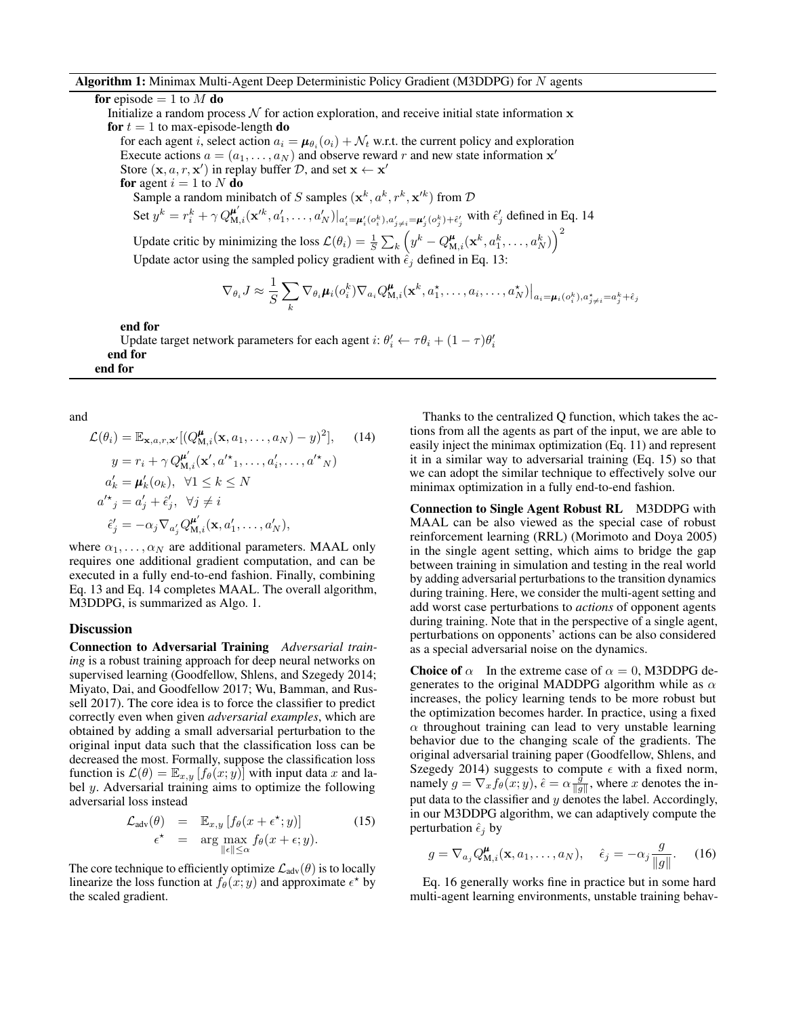## Algorithm 1: Minimax Multi-Agent Deep Deterministic Policy Gradient (M3DDPG) for N agents

#### for episode  $= 1$  to M do

Initialize a random process  $\mathcal N$  for action exploration, and receive initial state information  $\mathbf x$ for  $t = 1$  to max-episode-length do

for each agent *i*, select action  $a_i = \mu_{\theta_i}(o_i) + \mathcal{N}_t$  w.r.t. the current policy and exploration Execute actions  $a = (a_1, \dots, a_N)$  and observe reward r and new state information  $\mathbf{x}'$ Store  $(x, a, r, x')$  in replay buffer  $D$ , and set  $x \leftarrow x'$ 

for agent  $i = 1$  to N do

Sample a random minibatch of S samples  $(x^k, a^k, r^k, x'^k)$  from  $D$ Set  $y^k = r_i^k + \gamma Q_{\mathsf{M},i}^{\mathsf{u}'}(\mathbf{x}'^k, a_1', \dots, a_N')|_{a_i' = \mathsf{u}_i'(o_i^k), a_{j \neq i}' = \mathsf{u}_j'(o_j^k) + \hat{\epsilon}_j'}$  with  $\hat{\epsilon}_j'$  defined in Eq. 14 Update critic by minimizing the loss  $\mathcal{L}(\theta_i) = \frac{1}{S} \sum_k \left( y^k - Q_{\text{M},i}^{\mu}(\mathbf{x}^k, a_1^k, \dots, a_N^k) \right)^2$ 

Update actor using the sampled policy gradient with  $\hat{\epsilon}_i$  defined in Eq. 13:

$$
\nabla_{\theta_i} J \approx \frac{1}{S} \sum_k \nabla_{\theta_i} \mu_i(o_i^k) \nabla_{a_i} Q_{\mathbf{M},i}^{\mu}(\mathbf{x}^k, a_1^{\star}, \dots, a_i, \dots, a_N^{\star}) \Big|_{a_i = \mu_i(o_i^k), a_{j \neq i}^{\star} = a_j^k + \hat{\epsilon}_j}
$$

end for

Update target network parameters for each agent  $i: \theta_i' \leftarrow \tau \theta_i + (1 - \tau) \theta_i'$ end for end for

and

$$
\mathcal{L}(\theta_i) = \mathbb{E}_{\mathbf{x},a,r,\mathbf{x}'}[(Q_{\mathbf{M},i}^{\boldsymbol{\mu}}(\mathbf{x}, a_1, \dots, a_N) - y)^2], \quad (14)
$$

$$
y = r_i + \gamma Q_{\mathbf{M},i}^{\boldsymbol{\mu}'}(\mathbf{x}', a'^*_{1}, \dots, a'_{i}, \dots, a'^*_{N})
$$

$$
a'_{k} = \boldsymbol{\mu}'_{k}(o_{k}), \quad \forall 1 \leq k \leq N
$$

$$
a'^*_{j} = a'_{j} + \hat{\epsilon}'_{j}, \quad \forall j \neq i
$$

$$
\hat{\epsilon}'_{j} = -\alpha_{j} \nabla_{a'_{j}} Q_{\mathbf{M},i}^{\boldsymbol{\mu}'}(\mathbf{x}, a'_{1}, \dots, a'_{N}),
$$

where  $\alpha_1, \ldots, \alpha_N$  are additional parameters. MAAL only requires one additional gradient computation, and can be executed in a fully end-to-end fashion. Finally, combining Eq. 13 and Eq. 14 completes MAAL. The overall algorithm, M3DDPG, is summarized as Algo. 1.

#### **Discussion**

Connection to Adversarial Training *Adversarial training* is a robust training approach for deep neural networks on supervised learning (Goodfellow, Shlens, and Szegedy 2014; Miyato, Dai, and Goodfellow 2017; Wu, Bamman, and Russell 2017). The core idea is to force the classifier to predict correctly even when given *adversarial examples*, which are obtained by adding a small adversarial perturbation to the original input data such that the classification loss can be decreased the most. Formally, suppose the classification loss function is  $\mathcal{L}(\theta) = \mathbb{E}_{x,y} [f_{\theta}(x; y)]$  with input data x and label  $y$ . Adversarial training aims to optimize the following adversarial loss instead

$$
\mathcal{L}_{\text{adv}}(\theta) = \mathbb{E}_{x,y} \left[ f_{\theta}(x + \epsilon^*; y) \right] \tag{15}
$$
\n
$$
\epsilon^* = \arg \max_{\|\epsilon\| \le \alpha} f_{\theta}(x + \epsilon; y).
$$

The core technique to efficiently optimize  $\mathcal{L}_{adv}(\theta)$  is to locally linearize the loss function at  $f_{\theta}(x; y)$  and approximate  $\epsilon^*$  by the scaled gradient.

Thanks to the centralized Q function, which takes the actions from all the agents as part of the input, we are able to easily inject the minimax optimization (Eq. 11) and represent it in a similar way to adversarial training (Eq. 15) so that we can adopt the similar technique to effectively solve our minimax optimization in a fully end-to-end fashion.

Connection to Single Agent Robust RL M3DDPG with MAAL can be also viewed as the special case of robust reinforcement learning (RRL) (Morimoto and Doya 2005) in the single agent setting, which aims to bridge the gap between training in simulation and testing in the real world by adding adversarial perturbations to the transition dynamics during training. Here, we consider the multi-agent setting and add worst case perturbations to *actions* of opponent agents during training. Note that in the perspective of a single agent, perturbations on opponents' actions can be also considered as a special adversarial noise on the dynamics.

**Choice of**  $\alpha$  In the extreme case of  $\alpha = 0$ , M3DDPG degenerates to the original MADDPG algorithm while as  $\alpha$ increases, the policy learning tends to be more robust but the optimization becomes harder. In practice, using a fixed  $\alpha$  throughout training can lead to very unstable learning behavior due to the changing scale of the gradients. The original adversarial training paper (Goodfellow, Shlens, and Szegedy 2014) suggests to compute  $\epsilon$  with a fixed norm, namely  $g = \nabla_x f_\theta(x; y)$ ,  $\hat{\epsilon} = \alpha \frac{\hat{g}}{\|g\|}$ , where x denotes the input data to the classifier and  $y$  denotes the label. Accordingly, in our M3DDPG algorithm, we can adaptively compute the perturbation  $\hat{\epsilon}_i$  by

$$
g = \nabla_{a_j} Q_{\mathbf{M},i}^{\boldsymbol{\mu}}(\mathbf{x}, a_1, \dots, a_N), \quad \hat{\epsilon}_j = -\alpha_j \frac{g}{\|g\|}.
$$
 (16)

Eq. 16 generally works fine in practice but in some hard multi-agent learning environments, unstable training behav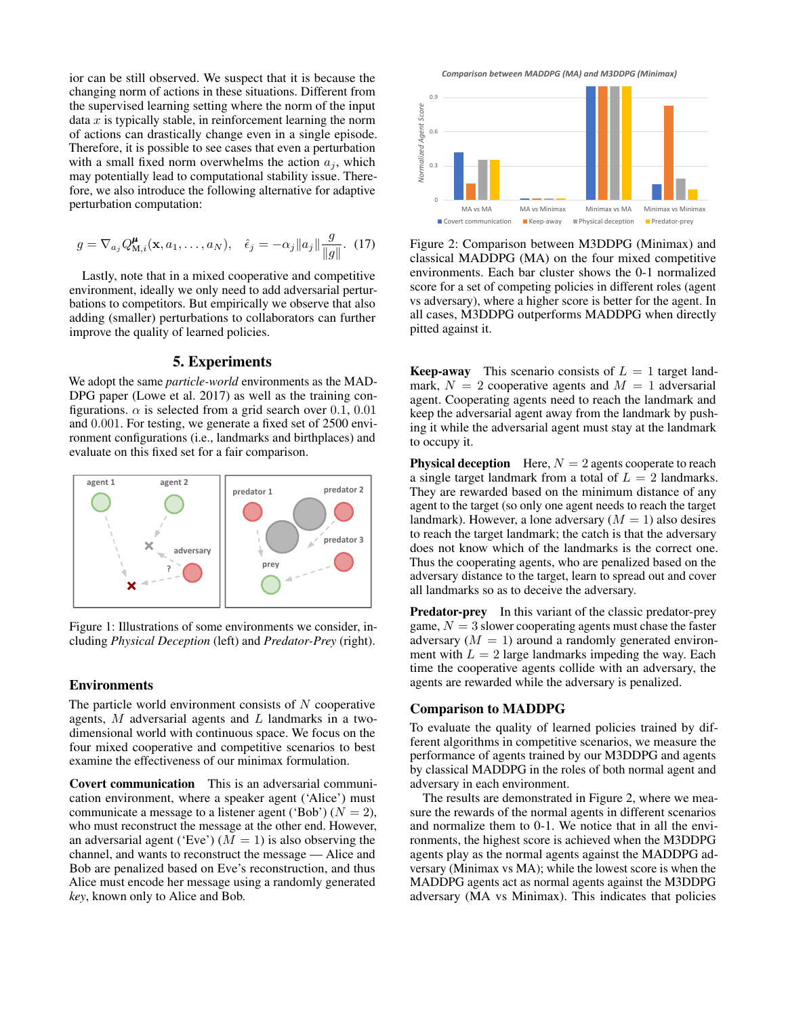ior can be still observed. We suspect that it is because the changing norm of actions in these situations. Different from the supervised learning setting where the norm of the input data  $x$  is typically stable, in reinforcement learning the norm of actions can drastically change even in a single episode. Therefore, it is possible to see cases that even a perturbation with a small fixed norm overwhelms the action  $a_i$ , which may potentially lead to computational stability issue. Therefore, we also introduce the following alternative for adaptive perturbation computation:

$$
g = \nabla_{a_j} Q_{\mathbf{M},i}^{\mu}(\mathbf{x}, a_1, \dots, a_N), \quad \hat{\epsilon}_j = -\alpha_j \|a_j\| \frac{g}{\|g\|}. \tag{17}
$$

Lastly, note that in a mixed cooperative and competitive environment, ideally we only need to add adversarial perturbations to competitors. But empirically we observe that also adding (smaller) perturbations to collaborators can further improve the quality of learned policies.

## 5. Experiments

We adopt the same *particle-world* environments as the MAD-DPG paper (Lowe et al. 2017) as well as the training configurations.  $\alpha$  is selected from a grid search over 0.1, 0.01 and 0.001. For testing, we generate a fixed set of 2500 environment configurations (i.e., landmarks and birthplaces) and evaluate on this fixed set for a fair comparison.



Figure 1: Illustrations of some environments we consider, including *Physical Deception* (left) and *Predator-Prey* (right).

## Environments

The particle world environment consists of  $N$  cooperative agents,  $M$  adversarial agents and  $L$  landmarks in a twodimensional world with continuous space. We focus on the four mixed cooperative and competitive scenarios to best examine the effectiveness of our minimax formulation.

Covert communication This is an adversarial communication environment, where a speaker agent ('Alice') must communicate a message to a listener agent ('Bob') ( $N = 2$ ), who must reconstruct the message at the other end. However, an adversarial agent ('Eve')  $(M = 1)$  is also observing the channel, and wants to reconstruct the message — Alice and Bob are penalized based on Eve's reconstruction, and thus Alice must encode her message using a randomly generated *key*, known only to Alice and Bob.



Figure 2: Comparison between M3DDPG (Minimax) and classical MADDPG (MA) on the four mixed competitive environments. Each bar cluster shows the 0-1 normalized score for a set of competing policies in different roles (agent vs adversary), where a higher score is better for the agent. In all cases, M3DDPG outperforms MADDPG when directly pitted against it.

**Keep-away** This scenario consists of  $L = 1$  target landmark,  $N = 2$  cooperative agents and  $M = 1$  adversarial agent. Cooperating agents need to reach the landmark and keep the adversarial agent away from the landmark by pushing it while the adversarial agent must stay at the landmark to occupy it.

**a** single target landmark from a total of  $L = 2$  landmarks. They are rewarded based on the minimum distance of any adversary distance to the target, learn to spread out and cover does not know which of the landmarks is the correct one. **Physical deception** Here,  $N = 2$  agents cooperate to reach agent to the target (so only one agent needs to reach the target landmark). However, a lone adversary  $(M = 1)$  also desires to reach the target landmark; the catch is that the adversary Thus the cooperating agents, who are penalized based on the all landmarks so as to deceive the adversary.

**Predator-prey** In this variant of the classic predator-prey game,  $N = 3$  slower cooperating agents must chase the faster adversary  $(M = 1)$  around a randomly generated environment with  $L = 2$  large landmarks impeding the way. Each time the cooperative agents collide with an adversary, the agents are rewarded while the adversary is penalized.

#### Comparison to MADDPG

To evaluate the quality of learned policies trained by different algorithms in competitive scenarios, we measure the performance of agents trained by our M3DDPG and agents by classical MADDPG in the roles of both normal agent and adversary in each environment.

The results are demonstrated in Figure 2, where we measure the rewards of the normal agents in different scenarios and normalize them to 0-1. We notice that in all the environments, the highest score is achieved when the M3DDPG agents play as the normal agents against the MADDPG adversary (Minimax vs MA); while the lowest score is when the MADDPG agents act as normal agents against the M3DDPG adversary (MA vs Minimax). This indicates that policies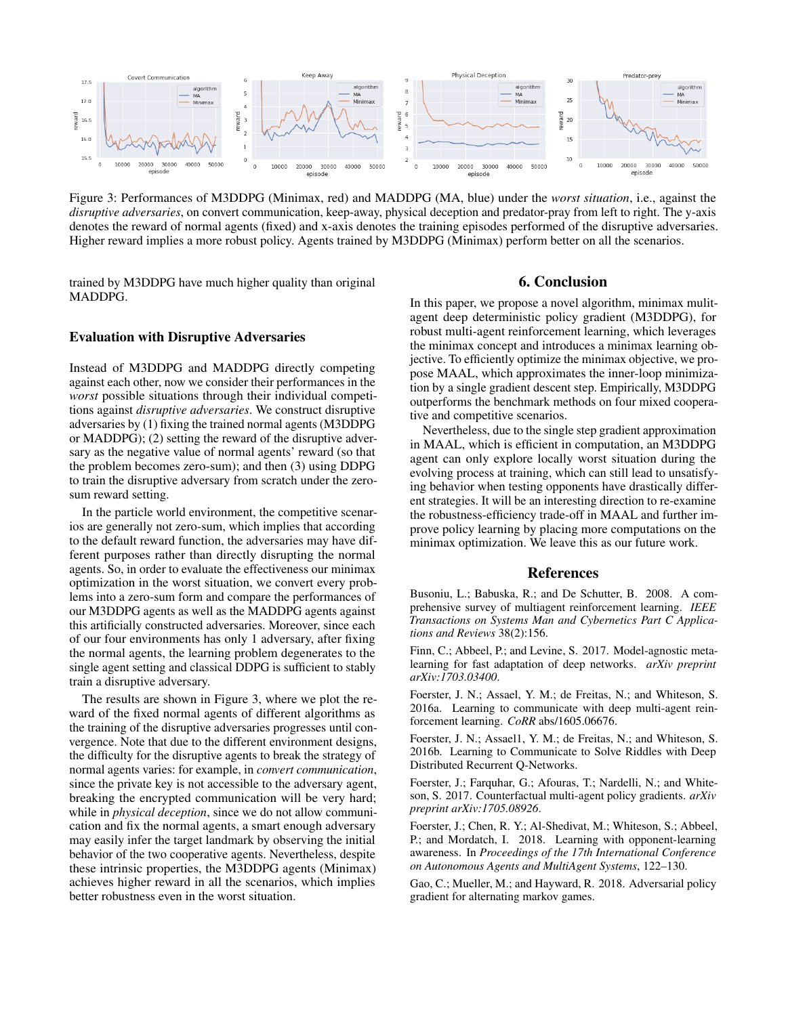

Figure 3: Performances of M3DDPG (Minimax, red) and MADDPG (MA, blue) under the *worst situation*, i.e., against the *disruptive adversaries*, on convert communication, keep-away, physical deception and predator-pray from left to right. The y-axis denotes the reward of normal agents (fixed) and x-axis denotes the training episodes performed of the disruptive adversaries. Higher reward implies a more robust policy. Agents trained by M3DDPG (Minimax) perform better on all the scenarios.

trained by M3DDPG have much higher quality than original MADDPG.

## Evaluation with Disruptive Adversaries

Instead of M3DDPG and MADDPG directly competing against each other, now we consider their performances in the *worst* possible situations through their individual competitions against *disruptive adversaries*. We construct disruptive adversaries by (1) fixing the trained normal agents (M3DDPG or MADDPG); (2) setting the reward of the disruptive adversary as the negative value of normal agents' reward (so that the problem becomes zero-sum); and then (3) using DDPG to train the disruptive adversary from scratch under the zerosum reward setting.

In the particle world environment, the competitive scenarios are generally not zero-sum, which implies that according to the default reward function, the adversaries may have different purposes rather than directly disrupting the normal agents. So, in order to evaluate the effectiveness our minimax optimization in the worst situation, we convert every problems into a zero-sum form and compare the performances of our M3DDPG agents as well as the MADDPG agents against this artificially constructed adversaries. Moreover, since each of our four environments has only 1 adversary, after fixing the normal agents, the learning problem degenerates to the single agent setting and classical DDPG is sufficient to stably train a disruptive adversary.

The results are shown in Figure 3, where we plot the reward of the fixed normal agents of different algorithms as the training of the disruptive adversaries progresses until convergence. Note that due to the different environment designs, the difficulty for the disruptive agents to break the strategy of normal agents varies: for example, in *convert communication*, since the private key is not accessible to the adversary agent, breaking the encrypted communication will be very hard; while in *physical deception*, since we do not allow communication and fix the normal agents, a smart enough adversary may easily infer the target landmark by observing the initial behavior of the two cooperative agents. Nevertheless, despite these intrinsic properties, the M3DDPG agents (Minimax) achieves higher reward in all the scenarios, which implies better robustness even in the worst situation.

# 6. Conclusion

In this paper, we propose a novel algorithm, minimax mulitagent deep deterministic policy gradient (M3DDPG), for robust multi-agent reinforcement learning, which leverages the minimax concept and introduces a minimax learning objective. To efficiently optimize the minimax objective, we propose MAAL, which approximates the inner-loop minimization by a single gradient descent step. Empirically, M3DDPG outperforms the benchmark methods on four mixed cooperative and competitive scenarios.

Nevertheless, due to the single step gradient approximation in MAAL, which is efficient in computation, an M3DDPG agent can only explore locally worst situation during the evolving process at training, which can still lead to unsatisfying behavior when testing opponents have drastically different strategies. It will be an interesting direction to re-examine the robustness-efficiency trade-off in MAAL and further improve policy learning by placing more computations on the minimax optimization. We leave this as our future work.

#### References

Busoniu, L.; Babuska, R.; and De Schutter, B. 2008. A comprehensive survey of multiagent reinforcement learning. *IEEE Transactions on Systems Man and Cybernetics Part C Applications and Reviews* 38(2):156.

Finn, C.; Abbeel, P.; and Levine, S. 2017. Model-agnostic metalearning for fast adaptation of deep networks. *arXiv preprint arXiv:1703.03400*.

Foerster, J. N.; Assael, Y. M.; de Freitas, N.; and Whiteson, S. 2016a. Learning to communicate with deep multi-agent reinforcement learning. *CoRR* abs/1605.06676.

Foerster, J. N.; Assael1, Y. M.; de Freitas, N.; and Whiteson, S. 2016b. Learning to Communicate to Solve Riddles with Deep Distributed Recurrent Q-Networks.

Foerster, J.; Farquhar, G.; Afouras, T.; Nardelli, N.; and Whiteson, S. 2017. Counterfactual multi-agent policy gradients. *arXiv preprint arXiv:1705.08926*.

Foerster, J.; Chen, R. Y.; Al-Shedivat, M.; Whiteson, S.; Abbeel, P.; and Mordatch, I. 2018. Learning with opponent-learning awareness. In *Proceedings of the 17th International Conference on Autonomous Agents and MultiAgent Systems*, 122–130.

Gao, C.; Mueller, M.; and Hayward, R. 2018. Adversarial policy gradient for alternating markov games.